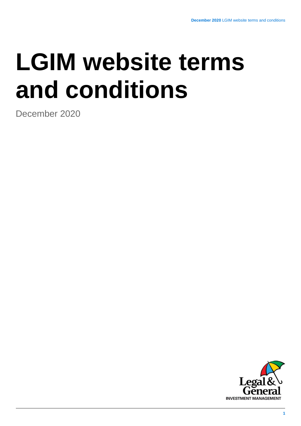# **LGIM website terms and conditions**

December 2020

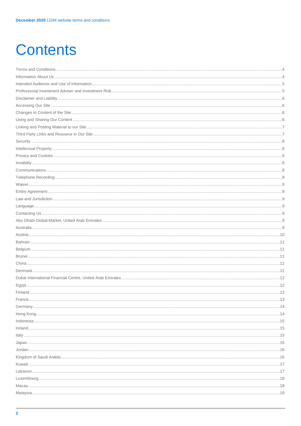# **Contents**

| 18 |
|----|
|    |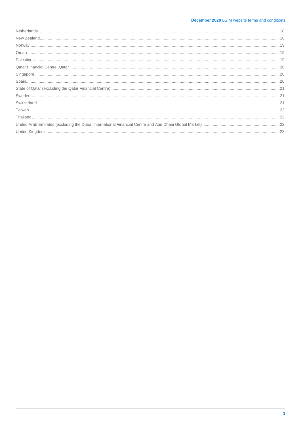# **December 2020 LGIM website terms and conditions**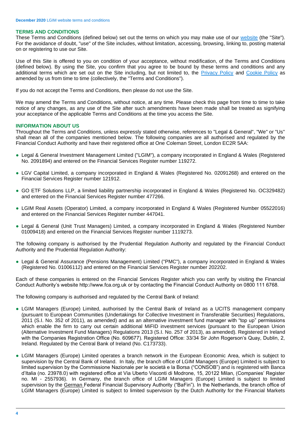# <span id="page-3-0"></span>**TERMS AND CONDITIONS**

These Terms and Conditions (defined below) set out the terms on which you may make use of our [website](http://www.lgim.com/) (the "Site"). For the avoidance of doubt, "use" of the Site includes, without limitation, accessing, browsing, linking to, posting material on or registering to use our Site.

Use of this Site is offered to you on condition of your acceptance, without modification, of the Terms and Conditions (defined below). By using the Site, you confirm that you agree to be bound by these terms and conditions and any additional terms which are set out on the Site including, but not limited to, the [Privacy Policy](https://www.legalandgeneralgroup.com/services/privacy-policy/) and [Cookie Policy](https://www.lgim.com/cookie-policy/) as amended by us from time to time (collectively, the "Terms and Conditions").

If you do not accept the Terms and Conditions, then please do not use the Site.

We may amend the Terms and Conditions, without notice, at any time. Please check this page from time to time to take notice of any changes, as any use of the Site after such amendments have been made shall be treated as signifying your acceptance of the applicable Terms and Conditions at the time you access the Site.

# <span id="page-3-1"></span>**INFORMATION ABOUT US**

Throughout the Terms and Conditions, unless expressly stated otherwise, references to "Legal & General", "We" or "Us" shall mean all of the companies mentioned below. The following companies are all authorised and regulated by the Financial Conduct Authority and have their registered office at One Coleman Street, London EC2R 5AA:

- Legal & General Investment Management Limited ("LGIM"), a company incorporated in England & Wales (Registered No. 2091894) and entered on the Financial Services Register number 119272.
- LGV Capital Limited, a company incorporated in England & Wales (Registered No. 02091268) and entered on the Financial Services Register number 121912.
- GO ETF Solutions LLP, a limited liability partnership incorporated in England & Wales (Registered No. OC329482) and entered on the Financial Services Register number 477266.
- LGIM Real Assets (Operator) Limited, a company incorporated in England & Wales (Registered Number 05522016) and entered on the Financial Services Register number 447041.
- Legal & General (Unit Trust Managers) Limited, a company incorporated in England & Wales (Registered Number 01009418) and entered on the Financial Services Register number 1119273.

The following company is authorised by the Prudential Regulation Authority and regulated by the Financial Conduct Authority and the Prudential Regulation Authority:

● Legal & General Assurance (Pensions Management) Limited ("PMC"), a company incorporated in England & Wales (Registered No. 01006112) and entered on the Financial Services Register number 202202.

Each of these companies is entered on the Financial Services Register which you can verify by visiting the Financial Conduct Authority's website http://www.fca.org.uk or by contacting the Financial Conduct Authority on 0800 111 6768.

The following company is authorised and regulated by the Central Bank of Ireland:

- LGIM Managers (Europe) Limited, authorised by the Central Bank of Ireland as a UCITS management company (pursuant to European Communities (Undertakings for Collective Investment in Transferable Securities) Regulations, 2011 (S.I. No. 352 of 2011), as amended) and as an alternative investment fund manager with "top up" permissions which enable the firm to carry out certain additional MiFID investment services (pursuant to the European Union (Alternative Investment Fund Managers) Regulations 2013 (S.I. No. 257 of 2013), as amended). Registered in Ireland with the Companies Registration Office (No. 609677). Registered Office: 33/34 Sir John Rogerson's Quay, Dublin, 2, Ireland. Regulated by the Central Bank of Ireland (No. C173733).
- LGIM Managers (Europe) Limited operates a branch network in the European Economic Area, which is subject to supervision by the Central Bank of Ireland. In Italy, the branch office of LGIM Managers (Europe) Limited is subject to limited supervision by the Commissione Nazionale per le società e la Borsa ("CONSOB") and is registered with Banca d'Italia (no. 23978.0) with registered office at Via Uberto Visconti di Modrone, 15, 20122 Milan, (Companies' Register no. MI - 2557936). In Germany, the branch office of LGIM Managers (Europe) Limited is subject to limited supervision by the German Federal Financial Supervisory Authority ("BaFin"). In the Netherlands, the branch office of LGIM Managers (Europe) Limited is subject to limited supervision by the Dutch Authority for the Financial Markets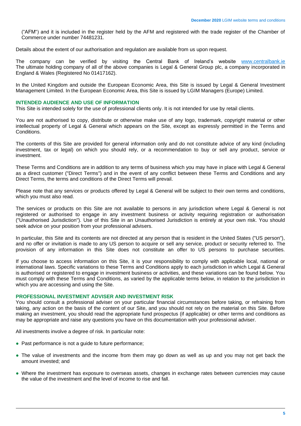("AFM") and it is included in the register held by the AFM and registered with the trade register of the Chamber of Commerce under number 74481231.

Details about the extent of our authorisation and regulation are available from us upon request.

The company can be verified by visiting the Central Bank of Ireland's website [www.centralbank.ie](https://www.centralbank.ie/) The ultimate holding company of all of the above companies is Legal & General Group plc, a company incorporated in England & Wales (Registered No 01417162).

In the United Kingdom and outside the European Economic Area, this Site is issued by Legal & General Investment Management Limited. In the European Economic Area, this Site is issued by LGIM Managers (Europe) Limited.

# <span id="page-4-0"></span>**INTENDED AUDIENCE AND USE OF INFORMATION**

This Site is intended solely for the use of professional clients only. It is not intended for use by retail clients.

You are not authorised to copy, distribute or otherwise make use of any logo, trademark, copyright material or other intellectual property of Legal & General which appears on the Site, except as expressly permitted in the Terms and Conditions.

The contents of this Site are provided for general information only and do not constitute advice of any kind (including investment, tax or legal) on which you should rely, or a recommendation to buy or sell any product, service or investment.

These Terms and Conditions are in addition to any terms of business which you may have in place with Legal & General as a direct customer ("Direct Terms") and in the event of any conflict between these Terms and Conditions and any Direct Terms, the terms and conditions of the Direct Terms will prevail.

Please note that any services or products offered by Legal & General will be subject to their own terms and conditions, which you must also read.

The services or products on this Site are not available to persons in any jurisdiction where Legal & General is not registered or authorised to engage in any investment business or activity requiring registration or authorisation ("Unauthorised Jurisdiction"). Use of this Site in an Unauthorised Jurisdiction is entirely at your own risk. You should seek advice on your position from your professional advisers.

In particular, this Site and its contents are not directed at any person that is resident in the United States ("US person"), and no offer or invitation is made to any US person to acquire or sell any service, product or security referred to. The provision of any information in this Site does not constitute an offer to US persons to purchase securities.

If you choose to access information on this Site, it is your responsibility to comply with applicable local, national or international laws. Specific variations to these Terms and Conditions apply to each jurisdiction in which Legal & General is authorised or registered to engage in investment business or activities, and these variations can be found below. You must comply with these Terms and Conditions, as varied by the applicable terms below, in relation to the jurisdiction in which you are accessing and using the Site.

# <span id="page-4-1"></span>**PROFESSIONAL INVESTMENT ADVISER AND INVESTMENT RISK**

You should consult a professional adviser on your particular financial circumstances before taking, or refraining from taking, any action on the basis of the content of our Site, and you should not rely on the material on this Site. Before making an investment, you should read the appropriate fund prospectus (if applicable) or other terms and conditions as may be appropriate and raise any questions you have on this documentation with your professional adviser.

All investments involve a degree of risk. In particular note:

- Past performance is not a quide to future performance;
- The value of investments and the income from them may go down as well as up and you may not get back the amount invested; and
- Where the investment has exposure to overseas assets, changes in exchange rates between currencies may cause the value of the investment and the level of income to rise and fall.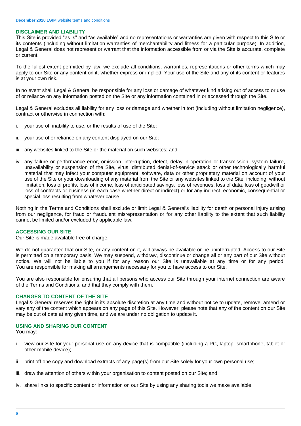# <span id="page-5-0"></span>**DISCLAIMER AND LIABILITY**

This Site is provided "as is" and "as available" and no representations or warranties are given with respect to this Site or its contents (including without limitation warranties of merchantability and fitness for a particular purpose). In addition, Legal & General does not represent or warrant that the information accessible from or via the Site is accurate, complete or current.

To the fullest extent permitted by law, we exclude all conditions, warranties, representations or other terms which may apply to our Site or any content on it, whether express or implied. Your use of the Site and any of its content or features is at your own risk.

In no event shall Legal & General be responsible for any loss or damage of whatever kind arising out of access to or use of or reliance on any information posted on the Site or any information contained in or accessed through the Site.

Legal & General excludes all liability for any loss or damage and whether in tort (including without limitation negligence), contract or otherwise in connection with:

- i. your use of, inability to use, or the results of use of the Site;
- ii. your use of or reliance on any content displayed on our Site;
- iii. any websites linked to the Site or the material on such websites; and
- iv. any failure or performance error, omission, interruption, defect, delay in operation or transmission, system failure, unavailability or suspension of the Site, virus, distributed denial-of-service attack or other technologically harmful material that may infect your computer equipment, software, data or other proprietary material on account of your use of the Site or your downloading of any material from the Site or any websites linked to the Site, including, without limitation, loss of profits, loss of income, loss of anticipated savings, loss of revenues, loss of data, loss of goodwill or loss of contracts or business (in each case whether direct or indirect) or for any indirect, economic, consequential or special loss resulting from whatever cause.

Nothing in the Terms and Conditions shall exclude or limit Legal & General's liability for death or personal injury arising from our negligence, for fraud or fraudulent misrepresentation or for any other liability to the extent that such liability cannot be limited and/or excluded by applicable law.

# <span id="page-5-1"></span>**ACCESSING OUR SITE**

Our Site is made available free of charge.

We do not guarantee that our Site, or any content on it, will always be available or be uninterrupted. Access to our Site is permitted on a temporary basis. We may suspend, withdraw, discontinue or change all or any part of our Site without notice. We will not be liable to you if for any reason our Site is unavailable at any time or for any period. You are responsible for making all arrangements necessary for you to have access to our Site.

You are also responsible for ensuring that all persons who access our Site through your internet connection are aware of the Terms and Conditions, and that they comply with them.

#### <span id="page-5-2"></span>**CHANGES TO CONTENT OF THE SITE**

Legal & General reserves the right in its absolute discretion at any time and without notice to update, remove, amend or vary any of the content which appears on any page of this Site. However, please note that any of the content on our Site may be out of date at any given time, and we are under no obligation to update it.

# <span id="page-5-3"></span>**USING AND SHARING OUR CONTENT**

You may:

- i. view our Site for your personal use on any device that is compatible (including a PC, laptop, smartphone, tablet or other mobile device);
- ii. print off one copy and download extracts of any page(s) from our Site solely for your own personal use;
- iii. draw the attention of others within your organisation to content posted on our Site; and
- iv. share links to specific content or information on our Site by using any sharing tools we make available.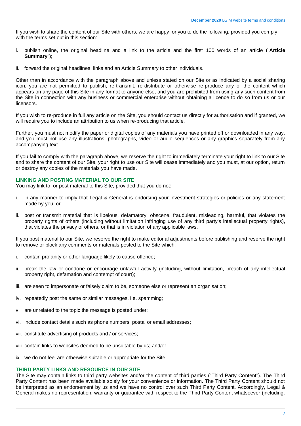If you wish to share the content of our Site with others, we are happy for you to do the following, provided you comply with the terms set out in this section:

- i. publish online, the original headline and a link to the article and the first 100 words of an article ("**Article Summary**");
- ii. forward the original headlines, links and an Article Summary to other individuals.

Other than in accordance with the paragraph above and unless stated on our Site or as indicated by a social sharing icon, you are not permitted to publish, re-transmit, re-distribute or otherwise re-produce any of the content which appears on any page of this Site in any format to anyone else, and you are prohibited from using any such content from the Site in connection with any business or commercial enterprise without obtaining a licence to do so from us or our licensors.

If you wish to re-produce in full any article on the Site, you should contact us directly for authorisation and if granted, we will require you to include an attribution to us when re-producing that article.

Further, you must not modify the paper or digital copies of any materials you have printed off or downloaded in any way, and you must not use any illustrations, photographs, video or audio sequences or any graphics separately from any accompanying text.

If you fail to comply with the paragraph above, we reserve the right to immediately terminate your right to link to our Site and to share the content of our Site, your right to use our Site will cease immediately and you must, at our option, return or destroy any copies of the materials you have made.

# <span id="page-6-0"></span>**LINKING AND POSTING MATERIAL TO OUR SITE**

You may link to, or post material to this Site, provided that you do not:

- i. in any manner to imply that Legal & General is endorsing your investment strategies or policies or any statement made by you; or
- ii. post or transmit material that is libelous, defamatory, obscene, fraudulent, misleading, harmful, that violates the property rights of others (including without limitation infringing use of any third party's intellectual property rights), that violates the privacy of others, or that is in violation of any applicable laws.

If you post material to our Site, we reserve the right to make editorial adjustments before publishing and reserve the right to remove or block any comments or materials posted to the Site which:

- i. contain profanity or other language likely to cause offence;
- ii. break the law or condone or encourage unlawful activity (including, without limitation, breach of any intellectual property right, defamation and contempt of court);
- iii. are seen to impersonate or falsely claim to be, someone else or represent an organisation;
- iv. repeatedly post the same or similar messages, i.e. spamming;
- v. are unrelated to the topic the message is posted under;
- vi. include contact details such as phone numbers, postal or email addresses;
- vii. constitute advertising of products and / or services;
- viii. contain links to websites deemed to be unsuitable by us; and/or
- ix. we do not feel are otherwise suitable or appropriate for the Site.

# <span id="page-6-1"></span>**THIRD PARTY LINKS AND RESOURCE IN OUR SITE**

The Site may contain links to third party websites and/or the content of third parties ("Third Party Content"). The Third Party Content has been made available solely for your convenience or information. The Third Party Content should not be interpreted as an endorsement by us and we have no control over such Third Party Content. Accordingly, Legal & General makes no representation, warranty or guarantee with respect to the Third Party Content whatsoever (including,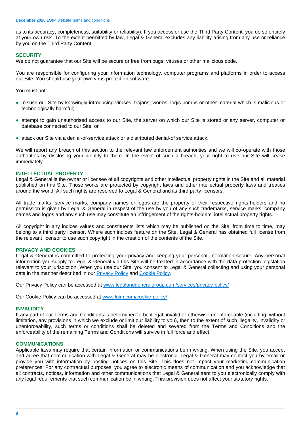as to its accuracy, completeness, suitability or reliability). If you access or use the Third Party Content, you do so entirely at your own risk. To the extent permitted by law, Legal & General excludes any liability arising from any use or reliance by you on the Third Party Content.

# <span id="page-7-0"></span>**SECURITY**

We do not guarantee that our Site will be secure or free from bugs, viruses or other malicious code.

You are responsible for configuring your information technology, computer programs and platforms in order to access our Site. You should use your own virus protection software.

You must not:

- misuse our Site by knowingly introducing viruses, trojans, worms, logic bombs or other material which is malicious or technologically harmful;
- attempt to gain unauthorised access to our Site, the server on which our Site is stored or any server, computer or database connected to our Site; or
- attack our Site via a denial-of-service attack or a distributed denial-of service attack.

We will report any breach of this section to the relevant law enforcement authorities and we will co-operate with those authorities by disclosing your identity to them. In the event of such a breach, your right to use our Site will cease immediately.

# <span id="page-7-1"></span>**INTELLECTUAL PROPERTY**

Legal & General is the owner or licensee of all copyrights and other intellectual property rights in the Site and all material published on this Site. Those works are protected by copyright laws and other intellectual property laws and treaties around the world. All such rights are reserved to Legal & General and its third party licensors.

All trade marks, service marks, company names or logos are the property of their respective rights-holders and no permission is given by Legal & General in respect of the use by you of any such trademarks, service marks, company names and logos and any such use may constitute an infringement of the rights-holders' intellectual property rights.

All copyright in any indices values and constituents lists which may be published on the Site, from time to time, may belong to a third party licensor. Where such indices feature on the Site, Legal & General has obtained full license from the relevant licensor to use such copyright in the creation of the contents of the Site.

# <span id="page-7-2"></span>**PRIVACY AND COOKIES**

Legal & General is committed to protecting your privacy and keeping your personal information secure. Any personal information you supply to Legal & General via this Site will be treated in accordance with the data protection legislation relevant to your jurisdiction. When you use our Site, you consent to Legal & General collecting and using your personal data in the manner described in our **Privacy Policy** and [Cookie Policy.](https://www.lgim.com/cookie-policy/)

Our Privacy Policy can be accessed at [www.legalandgeneralgroup.com/services/privacy-policy/](https://www.legalandgeneralgroup.com/services/privacy-policy/)

Our Cookie Policy can be accessed at [www.lgim.com/cookie-policy/](https://www.lgim.com/cookie-policy/)

# <span id="page-7-3"></span>**INVALIDITY**

If any part of our Terms and Conditions is determined to be illegal, invalid or otherwise unenforceable (including, without limitation, any provisions in which we exclude or limit our liability to you), then to the extent of such illegality, invalidity or unenforceability, such terms or conditions shall be deleted and severed from the Terms and Conditions and the enforceability of the remaining Terms and Conditions will survive in full force and effect.

#### <span id="page-7-4"></span>**COMMUNICATIONS**

Applicable laws may require that certain information or communications be in writing. When using the Site, you accept and agree that communication with Legal & General may be electronic. Legal & General may contact you by email or provide you with information by posting notices on this Site. This does not impact your marketing communication preferences. For any contractual purposes, you agree to electronic means of communication and you acknowledge that all contracts, notices, information and other communications that Legal & General sent to you electronically comply with any legal requirements that such communication be in writing. This provision does not affect your statutory rights.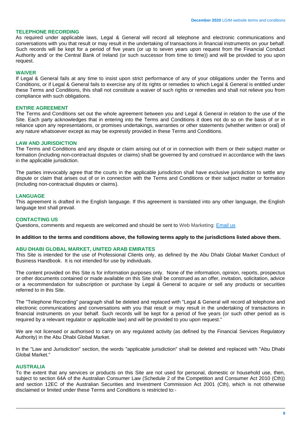# <span id="page-8-0"></span>**TELEPHONE RECORDING**

As required under applicable laws, Legal & General will record all telephone and electronic communications and conversations with you that result or may result in the undertaking of transactions in financial instruments on your behalf. Such records will be kept for a period of five years (or up to seven years upon request from the Financial Conduct Authority and/ or the Central Bank of Ireland (or such successor from time to time)) and will be provided to you upon request.

#### <span id="page-8-1"></span>**WAIVER**

If Legal & General fails at any time to insist upon strict performance of any of your obligations under the Terms and Conditions, or if Legal & General fails to exercise any of its rights or remedies to which Legal & General is entitled under these Terms and Conditions, this shall not constitute a waiver of such rights or remedies and shall not relieve you from compliance with such obligations.

# <span id="page-8-2"></span>**ENTIRE AGREEMENT**

The Terms and Conditions set out the whole agreement between you and Legal & General in relation to the use of the Site. Each party acknowledges that in entering into the Terms and Conditions it does not do so on the basis of or in reliance upon any representations, or promises undertakings, warranties or other statements (whether written or oral) of any nature whatsoever except as may be expressly provided in these Terms and Conditions.

#### <span id="page-8-3"></span>**LAW AND JURISDICTION**

The Terms and Conditions and any dispute or claim arising out of or in connection with them or their subject matter or formation (including non-contractual disputes or claims) shall be governed by and construed in accordance with the laws in the applicable jurisdiction.

The parties irrevocably agree that the courts in the applicable jurisdiction shall have exclusive jurisdiction to settle any dispute or claim that arises out of or in connection with the Terms and Conditions or their subject matter or formation (including non-contractual disputes or claims).

#### <span id="page-8-4"></span>**LANGUAGE**

This agreement is drafted in the English language. If this agreement is translated into any other language, the English language text shall prevail.

# <span id="page-8-5"></span>**CONTACTING US**

Questions, comments and requests are welcomed and should be sent to Web Marketing: [Email us](mailto:webmarketing@lgim.com)

#### **In addition to the terms and conditions above, the following terms apply to the jurisdictions listed above them.**

# <span id="page-8-6"></span>**ABU DHABI GLOBAL MARKET, UNITED ARAB EMIRATES**

This Site is intended for the use of Professional Clients only, as defined by the Abu Dhabi Global Market Conduct of Business Handbook. It is not intended for use by individuals.

The content provided on this Site is for information purposes only. None of the information, opinion, reports, prospectus or other documents contained or made available on this Site shall be construed as an offer, invitation, solicitation, advice or a recommendation for subscription or purchase by Legal & General to acquire or sell any products or securities referred to in this Site.

The "Telephone Recording" paragraph shall be deleted and replaced with "Legal & General will record all telephone and electronic communications and conversations with you that result or may result in the undertaking of transactions in financial instruments on your behalf. Such records will be kept for a period of five years (or such other period as is required by a relevant regulator or applicable law) and will be provided to you upon request."

We are not licensed or authorised to carry on any regulated activity (as defined by the Financial Services Regulatory Authority) in the Abu Dhabi Global Market.

In the "Law and Jurisdiction" section, the words "applicable jurisdiction" shall be deleted and replaced with "Abu Dhabi Global Market."

# <span id="page-8-7"></span>**AUSTRALIA**

To the extent that any services or products on this Site are not used for personal, domestic or household use, then, subject to section 64A of the Australian Consumer Law (Schedule 2 of the Competition and Consumer Act 2010 (Cth)) and section 12EC of the Australian Securities and Investment Commission Act 2001 (Cth), which is not otherwise disclaimed or limited under these Terms and Conditions is restricted to:-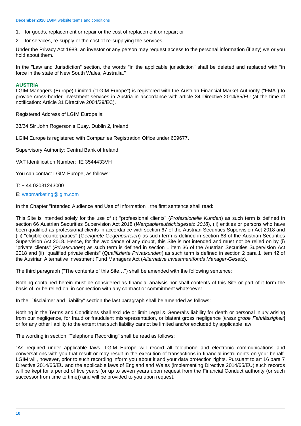- 1. for goods, replacement or repair or the cost of replacement or repair; or
- 2. for services, re-supply or the cost of re-supplying the services.

Under the Privacy Act 1988, an investor or any person may request access to the personal information (if any) we or you hold about them.

In the "Law and Jurisdiction" section, the words "in the applicable jurisdiction" shall be deleted and replaced with "in force in the state of New South Wales, Australia."

# <span id="page-9-0"></span>**AUSTRIA**

LGIM Managers (Europe) Limited ("LGIM Europe") is registered with the Austrian Financial Market Authority ("FMA") to provide cross-border investment services in Austria in accordance with article 34 Directive 2014/65/EU (at the time of notification: Article 31 Directive 2004/39/EC).

Registered Address of LGIM Europe is:

33/34 Sir John Rogerson's Quay, Dublin 2, Ireland

LGIM Europe is registered with Companies Registration Office under 609677.

Supervisory Authority: Central Bank of Ireland

VAT Identification Number: IE 3544433VH

You can contact LGIM Europe, as follows:

# T: + 44 02031243000

E: [webmarketing@lgim.com](mailto:webmarketing@lgim.com)

In the Chapter "Intended Audience and Use of Information", the first sentence shall read:

This Site is intended solely for the use of (i) "professional clients" (*Professionelle Kunden*) as such term is defined in section 66 Austrian Securities Supervision Act 2018 (*Wertpapieraufsichtsgesetz 2018*), (ii) entities or persons who have been qualified as professional clients in accordance with section 67 of the Austrian Securities Supervision Act 2018 and (iii) "eligible counterparties" (*Geeignete Gegenparteien*) as such term is defined in section 68 of the Austrian Securities Supervision Act 2018. Hence, for the avoidance of any doubt, this Site is not intended and must not be relied on by (i) "private clients" (*Privatkunden*) as such term is defined in section 1 item 36 of the Austrian Securities Supervision Act 2018 and (ii) "qualified private clients" (*Qualifizierte Privatkunden*) as such term is defined in section 2 para 1 item 42 of the Austrian Alternative Investment Fund Managers Act (*Alternative Investmentfonds Manager-Gesetz*).

The third paragraph ("The contents of this Site…") shall be amended with the following sentence:

Nothing contained herein must be considered as financial analysis nor shall contents of this Site or part of it form the basis of, or be relied on, in connection with any contract or commitment whatsoever.

In the "Disclaimer and Liability" section the last paragraph shall be amended as follows:

Nothing in the Terms and Conditions shall exclude or limit Legal & General's liability for death or personal injury arising from our negligence, for fraud or fraudulent misrepresentation, or blatant gross negligence [*krass grobe Fahrlässigkeit*] or for any other liability to the extent that such liability cannot be limited and/or excluded by applicable law.

The wording in section "Telephone Recording" shall be read as follows:

"As required under applicable laws, LGIM Europe will record all telephone and electronic communications and conversations with you that result or may result in the execution of transactions in financial instruments on your behalf. LGIM will, however, prior to such recording inform you about it and your data protection rights. Pursuant to art 16 para 7 Directive 2014/65/EU and the applicable laws of England and Wales (implementing Directive 2014/65/EU) such records will be kept for a period of five years (or up to seven years upon request from the Financial Conduct authority (or such successor from time to time)) and will be provided to you upon request.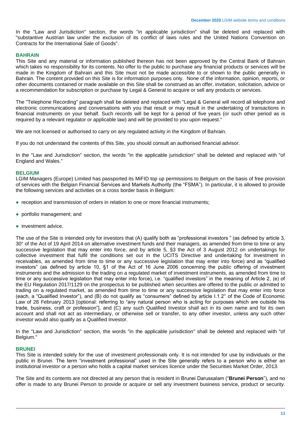In the "Law and Jurisdiction" section, the words "in applicable jurisdiction" shall be deleted and replaced with "substantive Austrian law under the exclusion of its conflict of laws rules and the United Nations Convention on Contracts for the International Sale of Goods".

# <span id="page-10-0"></span>**BAHRAIN**

This Site and any material or information published thereon has not been approved by the Central Bank of Bahrain which takes no responsibility for its contents. No offer to the public to purchase any financial products or services will be made in the Kingdom of Bahrain and this Site must not be made accessible to or shown to the public generally in Bahrain. The content provided on this Site is for information purposes only. None of the information, opinion, reports, or other documents contained or made available on this Site shall be construed as an offer, invitation, solicitation, advice or a recommendation for subscription or purchase by Legal & General to acquire or sell any products or services.

The "Telephone Recording" paragraph shall be deleted and replaced with "Legal & General will record all telephone and electronic communications and conversations with you that result or may result in the undertaking of transactions in financial instruments on your behalf. Such records will be kept for a period of five years (or such other period as is required by a relevant regulator or applicable law) and will be provided to you upon request."

We are not licensed or authorised to carry on any regulated activity in the Kingdom of Bahrain.

If you do not understand the contents of this Site, you should consult an authorised financial advisor.

In the "Law and Jurisdiction" section, the words "in the applicable jurisdiction" shall be deleted and replaced with "of England and Wales."

# <span id="page-10-1"></span>**BELGIUM**

LGIM Managers (Europe) Limited has passported its MiFID top up permissions to Belgium on the basis of free provision of services with the Belgian Financial Services and Markets Authority (the "FSMA"). In particular, it is allowed to provide the following services and activities on a cross border basis in Belgium:

- reception and transmission of orders in relation to one or more financial instruments;
- portfolio management; and
- investment advice.

The use of the Site is intended only for investors that (A) qualify both as "professional investors " (as defined by article 3, 30° of the Act of 19 April 2014 on alternative investment funds and their managers, as amended from time to time or any successive legislation that may enter into force, and by article 5, §3 the Act of 3 August 2012 on undertakings for collective investment that fulfil the conditions set out in the UCITS Directive and undertaking for investment in receivables, as amended from time to time or any successive legislation that may enter into force) and as "qualified investors" (as defined by article 10, §1 of the Act of 16 June 2006 concerning the public offering of investment instruments and the admission to the trading on a regulated market of investment instruments, as amended from time to time or any successive legislation that may enter into force), i.e. "qualified investors" in the meaning of Article 2, (e) of the EU Regulation 2017/1129 on the prospectus to be published when securities are offered to the public or admitted to trading on a regulated market, as amended from time to time or any successive legislation that may enter into force (each, a "Qualified Investor"), and (B) do not qualify as "consumers" defined by article I.1.2° of the Code of Economic Law of 28 February 2013 [optional: referring to "any natural person who is acting for purposes which are outside his trade, business, craft or profession"], and (C) any such Qualified Investor shall act in its own name and for its own account and shall not act as intermediary, or otherwise sell or transfer, to any other investor, unless any such other investor would also qualify as a Qualified Investor.

In the "Law and Jurisdiction" section, the words "in the applicable jurisdiction" shall be deleted and replaced with "of Belgium."

# <span id="page-10-2"></span>**BRUNEI**

This Site is intended solely for the use of investment professionals only. It is not intended for use by individuals or the public in Brunei. The term "investment professional" used in the Site generally refers to a person who is either an institutional investor or a person who holds a capital market services licence under the Securities Market Order, 2013.

The Site and its contents are not directed at any person that is resident in Brunei Darussalam ("**Brunei Person**"), and no offer is made to any Brunei Person to provide or acquire or sell any investment business service, product or security.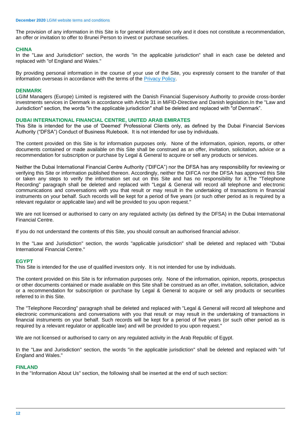The provision of any information in this Site is for general information only and it does not constitute a recommendation, an offer or invitation to offer to Brunei Person to invest or purchase securities.

# <span id="page-11-0"></span>**CHINA**

In the "Law and Jurisdiction" section, the words "in the applicable jurisdiction" shall in each case be deleted and replaced with "of England and Wales."

By providing personal information in the course of your use of the Site, you expressly consent to the transfer of that information overseas in accordance with the terms of the [Privacy Policy.](https://www.legalandgeneralgroup.com/services/privacy-policy/)

### <span id="page-11-1"></span>**DENMARK**

LGIM Managers (Europe) Limited is registered with the Danish Financial Supervisory Authority to provide cross-border investments services in Denmark in accordance with Article 31 in MiFID-Directive and Danish legislation.In the "Law and Jurisdiction" section, the words "in the applicable jurisdiction" shall be deleted and replaced with "of Denmark".

# <span id="page-11-2"></span>**DUBAI INTERNATIONAL FINANCIAL CENTRE, UNITED ARAB EMIRATES**

This Site is intended for the use of 'Deemed' Professional Clients only, as defined by the Dubai Financial Services Authority ("DFSA") Conduct of Business Rulebook. It is not intended for use by individuals.

The content provided on this Site is for information purposes only. None of the information, opinion, reports, or other documents contained or made available on this Site shall be construed as an offer, invitation, solicitation, advice or a recommendation for subscription or purchase by Legal & General to acquire or sell any products or services.

Neither the Dubai International Financial Centre Authority ("DIFCA") nor the DFSA has any responsibility for reviewing or verifying this Site or information published thereon. Accordingly, neither the DIFCA nor the DFSA has approved this Site or taken any steps to verify the information set out on this Site and has no responsibility for it.The "Telephone Recording" paragraph shall be deleted and replaced with "Legal & General will record all telephone and electronic communications and conversations with you that result or may result in the undertaking of transactions in financial instruments on your behalf. Such records will be kept for a period of five years (or such other period as is required by a relevant regulator or applicable law) and will be provided to you upon request."

We are not licensed or authorised to carry on any regulated activity (as defined by the DFSA) in the Dubai International Financial Centre.

If you do not understand the contents of this Site, you should consult an authorised financial advisor.

In the "Law and Jurisdiction" section, the words "applicable jurisdiction" shall be deleted and replaced with "Dubai International Financial Centre."

# <span id="page-11-3"></span>**EGYPT**

This Site is intended for the use of qualified investors only. It is not intended for use by individuals.

The content provided on this Site is for information purposes only. None of the information, opinion, reports, prospectus or other documents contained or made available on this Site shall be construed as an offer, invitation, solicitation, advice or a recommendation for subscription or purchase by Legal & General to acquire or sell any products or securities referred to in this Site.

The "Telephone Recording" paragraph shall be deleted and replaced with "Legal & General will record all telephone and electronic communications and conversations with you that result or may result in the undertaking of transactions in financial instruments on your behalf. Such records will be kept for a period of five years (or such other period as is required by a relevant regulator or applicable law) and will be provided to you upon request."

We are not licensed or authorised to carry on any regulated activity in the Arab Republic of Egypt.

In the "Law and Jurisdiction" section, the words "in the applicable jurisdiction" shall be deleted and replaced with "of England and Wales."

#### <span id="page-11-4"></span>**FINLAND**

In the "Information About Us" section, the following shall be inserted at the end of such section: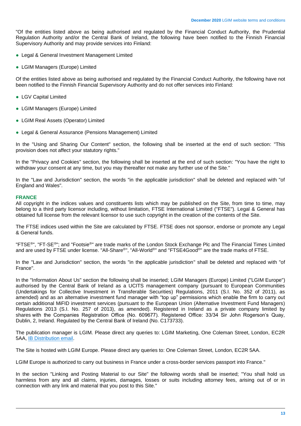"Of the entities listed above as being authorised and regulated by the Financial Conduct Authority, the Prudential Regulation Authority and/or the Central Bank of Ireland, the following have been notified to the Finnish Financial Supervisory Authority and may provide services into Finland:

- Legal & General Investment Management Limited
- LGIM Managers (Europe) Limited

Of the entities listed above as being authorised and regulated by the Financial Conduct Authority, the following have not been notified to the Finnish Financial Supervisory Authority and do not offer services into Finland:

- LGV Capital Limited
- LGIM Managers (Europe) Limited
- LGIM Real Assets (Operator) Limited
- Legal & General Assurance (Pensions Management) Limited

In the "Using and Sharing Our Content" section, the following shall be inserted at the end of such section: "This provision does not affect your statutory rights."

In the "Privacy and Cookies" section, the following shall be inserted at the end of such section: "You have the right to withdraw your consent at any time, but you may thereafter not make any further use of the Site."

In the "Law and Jurisdiction" section, the words "in the applicable jurisdiction" shall be deleted and replaced with "of England and Wales".

#### <span id="page-12-0"></span>**FRANCE**

All copyright in the indices values and constituents lists which may be published on the Site, from time to time, may belong to a third party licensor including, without limitation, FTSE International Limited ("FTSE"). Legal & General has obtained full license from the relevant licensor to use such copyright in the creation of the contents of the Site.

The FTSE indices used within the Site are calculated by FTSE. FTSE does not sponsor, endorse or promote any Legal & General funds.

"FTSE<sup>®</sup>", "FT-SE<sup>®</sup>"; and "Footsie<sup>®</sup>" are trade marks of the London Stock Exchange Plc and The Financial Times Limited and are used by FTSE under license. "All-Share®", "All-World®" and "FTSE4Good®" are the trade marks of FTSE.

In the "Law and Jurisdiction" section, the words "in the applicable jurisdiction" shall be deleted and replaced with "of France".

In the "Information About Us" section the following shall be inserted; LGIM Managers (Europe) Limited ("LGIM Europe") authorised by the Central Bank of Ireland as a UCITS management company (pursuant to European Communities (Undertakings for Collective Investment in Transferable Securities) Regulations, 2011 (S.I. No. 352 of 2011), as amended) and as an alternative investment fund manager with "top up" permissions which enable the firm to carry out certain additional MiFID investment services (pursuant to the European Union (Alternative Investment Fund Managers) Regulations 2013 (S.I. No. 257 of 2013), as amended). Registered in Ireland as a private company limited by shares with the Companies Registration Office (No. 609677). Registered Office: 33/34 Sir John Rogerson's Quay, Dublin, 2, Ireland. Regulated by the Central Bank of Ireland (No. C173733).

The publication manager is LGIM. Please direct any queries to: LGIM Marketing, One Coleman Street, London, EC2R 5AA, [IB Distribution email.](mailto:IBDistributionMarketing@lgim.com)

The Site is hosted with LGIM Europe. Please direct any queries to: One Coleman Street, London, EC2R 5AA.

LGIM Europe is authorized to carry out business in France under a cross-border services passport into France."

In the section "Linking and Posting Material to our Site" the following words shall be inserted; "You shall hold us harmless from any and all claims, injuries, damages, losses or suits including attorney fees, arising out of or in connection with any link and material that you post to this Site."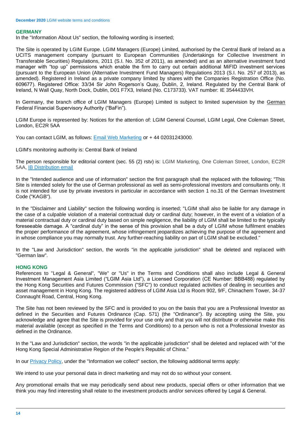# <span id="page-13-0"></span>**GERMANY**

In the "Information About Us" section, the following wording is inserted;

The Site is operated by LGIM Europe. LGIM Managers (Europe) Limited, authorised by the Central Bank of Ireland as a UCITS management company (pursuant to European Communities (Undertakings for Collective Investment in Transferable Securities) Regulations, 2011 (S.I. No. 352 of 2011), as amended) and as an alternative investment fund manager with "top up" permissions which enable the firm to carry out certain additional MiFID investment services (pursuant to the European Union (Alternative Investment Fund Managers) Regulations 2013 (S.I. No. 257 of 2013), as amended). Registered in Ireland as a private company limited by shares with the Companies Registration Office (No. 609677). Registered Office: 33/34 Sir John Rogerson's Quay, Dublin, 2, Ireland. Regulated by the Central Bank of Ireland, N Wall Quay, North Dock, Dublin, D01 F7X3, Ireland (No. C173733). VAT number: IE 3544433VH.

In Germany, the branch office of LGIM Managers (Europe) Limited is subject to limited supervision by the German Federal Financial Supervisory Authority ("BaFin").

LGIM Europe is represented by: Notices for the attention of: LGIM General Counsel, LGIM Legal, One Coleman Street, London, EC2R 5AA

You can contact LGIM, as follows: [Email Web Marketing](mailto:webmarketing@lgim.com) or + 44 02031243000.

LGIM's monitoring authority is: Central Bank of Ireland

The person responsible for editorial content (sec. 55 (2) rstv) is: LGIM Marketing, One Coleman Street, London, EC2R 5AA[, IB Distribution email](mailto:IBDistributionMarketing@lgim.com)

In the "Intended audience and use of information" section the first paragraph shall the replaced with the following; "This Site is intended solely for the use of German professional as well as semi-professional investors and consultants only. It is not intended for use by private investors in particular in accordance with section 1 no.31 of the German Investment Code ("KAGB").

In the "Disclaimer and Liability" section the following wording is inserted; "LGIM shall also be liable for any damage in the case of a culpable violation of a material contractual duty or cardinal duty; however, in the event of a violation of a material contractual duty or cardinal duty based on simple negligence, the liability of LGIM shall be limited to the typically foreseeable damage. A "cardinal duty" in the sense of this provision shall be a duty of LGIM whose fulfilment enables the proper performance of the agreement, whose infringement jeopardizes achieving the purpose of the agreement and in whose compliance you may normally trust. Any further-reaching liability on part of LGIM shall be excluded."

In the "Law and Jurisdiction" section, the words "in the applicable jurisdiction" shall be deleted and replaced with "German law".

# <span id="page-13-1"></span>**HONG KONG**

References to "Legal & General", "We" or "Us" in the Terms and Conditions shall also include Legal & General Investment Management Asia Limited ("LGIM Asia Ltd"), a Licensed Corporation (CE Number: BBB488) regulated by the Hong Kong Securities and Futures Commission ("SFC") to conduct regulated activities of dealing in securities and asset management in Hong Kong. The registered address of LGIM Asia Ltd is Room 902, 9/F, Chinachem Tower, 34-37 Connaught Road, Central, Hong Kong.

The Site has not been reviewed by the SFC and is provided to you on the basis that you are a Professional Investor as defined in the Securities and Futures Ordinance (Cap. 571) (the "Ordinance"). By accepting using the Site, you acknowledge and agree that the Site is provided for your use only and that you will not distribute or otherwise make this material available (except as specified in the Terms and Conditions) to a person who is not a Professional Investor as defined in the Ordinance.

In the "Law and Jurisdiction" section, the words "in the applicable jurisdiction" shall be deleted and replaced with "of the Hong Kong Special Administrative Region of the People's Republic of China."

In our [Privacy Policy,](https://www.legalandgeneralgroup.com/services/privacy-policy/) under the "Information we collect" section, the following additional terms apply:

We intend to use your personal data in direct marketing and may not do so without your consent.

Any promotional emails that we may periodically send about new products, special offers or other information that we think you may find interesting shall relate to the investment products and/or services offered by Legal & General.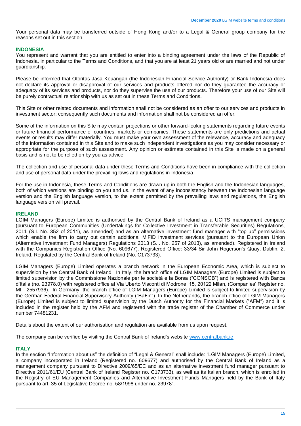Your personal data may be transferred outside of Hong Kong and/or to a Legal & General group company for the reasons set out in this section.

#### <span id="page-14-0"></span>**INDONESIA**

You represent and warrant that you are entitled to enter into a binding agreement under the laws of the Republic of Indonesia, in particular to the Terms and Conditions, and that you are at least 21 years old or are married and not under guardianship.

Please be informed that Otoritas Jasa Keuangan (the Indonesian Financial Service Authority) or Bank Indonesia does not declare its approval or disapproval of our services and products offered nor do they guarantee the accuracy or adequacy of its services and products, nor do they supervise the use of our products. Therefore your use of our Site will be purely contractual relationship with us as set out in these Terms and Conditions.

This Site or other related documents and information shall not be considered as an offer to our services and products in investment sector; consequently such documents and information shall not be considered an offer.

Some of the information on this Site may contain projections or other forward-looking statements regarding future events or future financial performance of countries, markets or companies. These statements are only predictions and actual events or results may differ materially. You must make your own assessment of the relevance, accuracy and adequacy of the information contained in this Site and to make such independent investigations as you may consider necessary or appropriate for the purpose of such assessment. Any opinion or estimate contained in this Site is made on a general basis and is not to be relied on by you as advice.

The collection and use of personal data under these Terms and Conditions have been in compliance with the collection and use of personal data under the prevailing laws and regulations in Indonesia.

For the use in Indonesia, these Terms and Conditions are drawn up in both the English and the Indonesian languages, both of which versions are binding on you and us. In the event of any inconsistency between the Indonesian language version and the English language version, to the extent permitted by the prevailing laws and regulations, the English language version will prevail.

#### <span id="page-14-1"></span>**IRELAND**

LGIM Managers (Europe) Limited is authorised by the Central Bank of Ireland as a UCITS management company (pursuant to European Communities (Undertakings for Collective Investment in Transferable Securities) Regulations, 2011 (S.I. No. 352 of 2011), as amended) and as an alternative investment fund manager with "top up" permissions which enable the firm to carry out certain additional MiFID investment services (pursuant to the European Union (Alternative Investment Fund Managers) Regulations 2013 (S.I. No. 257 of 2013), as amended). Registered in Ireland with the Companies Registration Office (No. 609677). Registered Office: 33/34 Sir John Rogerson's Quay, Dublin, 2, Ireland. Regulated by the Central Bank of Ireland (No. C173733).

LGIM Managers (Europe) Limited operates a branch network in the European Economic Area, which is subject to supervision by the Central Bank of Ireland. In Italy, the branch office of LGIM Managers (Europe) Limited is subject to limited supervision by the Commissione Nazionale per le società e la Borsa ("CONSOB") and is registered with Banca d'Italia (no. 23978.0) with registered office at Via Uberto Visconti di Modrone, 15, 20122 Milan, (Companies' Register no. MI - 2557936). In Germany, the branch office of LGIM Managers (Europe) Limited is subject to limited supervision by the German Federal Financial Supervisory Authority ("BaFin"). In the Netherlands, the branch office of LGIM Managers (Europe) Limited is subject to limited supervision by the Dutch Authority for the Financial Markets ("AFM") and it is included in the register held by the AFM and registered with the trade register of the Chamber of Commerce under number 74481231.

Details about the extent of our authorisation and regulation are available from us upon request.

The company can be verified by visiting the Central Bank of Ireland's website [www.centralbank.ie](https://www.centralbank.ie/)

#### <span id="page-14-2"></span>**ITALY**

In the section "Information about us" the definition of "Legal & General" shall include: "LGIM Managers (Europe) Limited, a company incorporated in Ireland (Registered no. 609677) and authorised by the Central Bank of Ireland as a management company pursuant to Directive 2009/65/EC and as an alternative investment fund manager pursuant to Directive 2011/61/EU (Central Bank of Ireland Register no. C173733), as well as its Italian branch, which is enrolled in the Registry of EU Management Companies and Alternative Investment Funds Managers held by the Bank of Italy pursuant to art. 35 of Legislative Decree no. 58/1998 under no. 23978".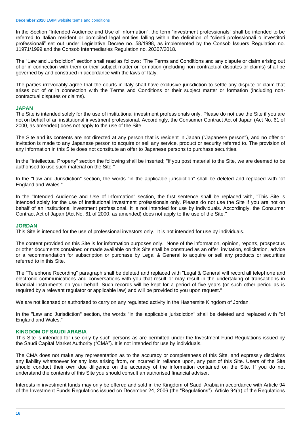In the Section "Intended Audience and Use of Information", the term "investment professionals" shall be intended to be referred to Italian resident or domiciled legal entities falling within the definition of "clienti professionali o investitori professionali" set out under Legislative Decree no. 58/1998, as implemented by the Consob Issuers Regulation no. 11971/1999 and the Consob Intermediaries Regulation no. 20307/2018.

The "Law and Jurisdiction" section shall read as follows: "The Terms and Conditions and any dispute or claim arising out of or in connection with them or their subject matter or formation (including non-contractual disputes or claims) shall be governed by and construed in accordance with the laws of Italy.

The parties irrevocably agree that the courts in Italy shall have exclusive jurisdiction to settle any dispute or claim that arises out of or in connection with the Terms and Conditions or their subject matter or formation (including noncontractual disputes or claims).

# <span id="page-15-0"></span>**JAPAN**

The Site is intended solely for the use of institutional investment professionals only. Please do not use the Site if you are not on behalf of an institutional investment professional. Accordingly, the Consumer Contract Act of Japan (Act No. 61 of 2000, as amended) does not apply to the use of the Site.

The Site and its contents are not directed at any person that is resident in Japan ("Japanese person"), and no offer or invitation is made to any Japanese person to acquire or sell any service, product or security referred to. The provision of any information in this Site does not constitute an offer to Japanese persons to purchase securities.

In the "Intellectual Property" section the following shall be inserted; "If you post material to the Site, we are deemed to be authorised to use such material on the Site."

In the "Law and Jurisdiction" section, the words "in the applicable jurisdiction" shall be deleted and replaced with "of England and Wales."

In the "Intended Audience and Use of Information" section, the first sentence shall be replaced with, "This Site is intended solely for the use of institutional investment professionals only. Please do not use the Site if you are not on behalf of an institutional investment professional. It is not intended for use by individuals. Accordingly, the Consumer Contract Act of Japan (Act No. 61 of 2000, as amended) does not apply to the use of the Site."

#### <span id="page-15-1"></span>**JORDAN**

This Site is intended for the use of professional investors only. It is not intended for use by individuals.

The content provided on this Site is for information purposes only. None of the information, opinion, reports, prospectus or other documents contained or made available on this Site shall be construed as an offer, invitation, solicitation, advice or a recommendation for subscription or purchase by Legal & General to acquire or sell any products or securities referred to in this Site.

The "Telephone Recording" paragraph shall be deleted and replaced with "Legal & General will record all telephone and electronic communications and conversations with you that result or may result in the undertaking of transactions in financial instruments on your behalf. Such records will be kept for a period of five years (or such other period as is required by a relevant regulator or applicable law) and will be provided to you upon request."

We are not licensed or authorised to carry on any regulated activity in the Hashemite Kingdom of Jordan.

In the "Law and Jurisdiction" section, the words "in the applicable jurisdiction" shall be deleted and replaced with "of England and Wales."

# <span id="page-15-2"></span>**KINGDOM OF SAUDI ARABIA**

This Site is intended for use only by such persons as are permitted under the Investment Fund Regulations issued by the Saudi Capital Market Authority ("CMA"). It is not intended for use by individuals.

The CMA does not make any representation as to the accuracy or completeness of this Site, and expressly disclaims any liability whatsoever for any loss arising from, or incurred in reliance upon, any part of this Site. Users of the Site should conduct their own due diligence on the accuracy of the information contained on the Site. If you do not understand the contents of this Site you should consult an authorised financial adviser.

Interests in investment funds may only be offered and sold in the Kingdom of Saudi Arabia in accordance with Article 94 of the Investment Funds Regulations issued on December 24, 2006 (the "Regulations"). Article 94(a) of the Regulations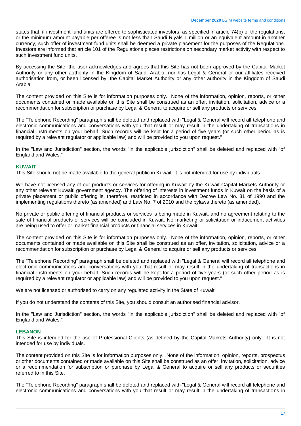states that, if investment fund units are offered to sophisticated investors, as specified in article 74(b) of the regulations, or the minimum amount payable per offeree is not less than Saudi Riyals 1 million or an equivalent amount in another currency, such offer of investment fund units shall be deemed a private placement for the purposes of the Regulations. Investors are informed that article 101 of the Regulations places restrictions on secondary market activity with respect to such investment fund units.

By accessing the Site, the user acknowledges and agrees that this Site has not been approved by the Capital Market Authority or any other authority in the Kingdom of Saudi Arabia, nor has Legal & General or our affiliates received authorisation from, or been licensed by, the Capital Market Authority or any other authority in the Kingdom of Saudi Arabia.

The content provided on this Site is for information purposes only. None of the information, opinion, reports, or other documents contained or made available on this Site shall be construed as an offer, invitation, solicitation, advice or a recommendation for subscription or purchase by Legal & General to acquire or sell any products or services.

The "Telephone Recording" paragraph shall be deleted and replaced with "Legal & General will record all telephone and electronic communications and conversations with you that result or may result in the undertaking of transactions in financial instruments on your behalf. Such records will be kept for a period of five years (or such other period as is required by a relevant regulator or applicable law) and will be provided to you upon request."

In the "Law and Jurisdiction" section, the words "in the applicable jurisdiction" shall be deleted and replaced with "of England and Wales."

#### <span id="page-16-0"></span>**KUWAIT**

This Site should not be made available to the general public in Kuwait. It is not intended for use by individuals.

We have not licensed any of our products or services for offering in Kuwait by the Kuwait Capital Markets Authority or any other relevant Kuwaiti government agency. The offering of interests in investment funds in Kuwait on the basis of a private placement or public offering is, therefore, restricted in accordance with Decree Law No. 31 of 1990 and the implementing regulations thereto (as amended) and Law No. 7 of 2010 and the bylaws thereto (as amended).

No private or public offering of financial products or services is being made in Kuwait, and no agreement relating to the sale of financial products or services will be concluded in Kuwait. No marketing or solicitation or inducement activities are being used to offer or market financial products or financial services in Kuwait.

The content provided on this Site is for information purposes only. None of the information, opinion, reports, or other documents contained or made available on this Site shall be construed as an offer, invitation, solicitation, advice or a recommendation for subscription or purchase by Legal & General to acquire or sell any products or services.

The "Telephone Recording" paragraph shall be deleted and replaced with "Legal & General will record all telephone and electronic communications and conversations with you that result or may result in the undertaking of transactions in financial instruments on your behalf. Such records will be kept for a period of five years (or such other period as is required by a relevant regulator or applicable law) and will be provided to you upon request."

We are not licensed or authorised to carry on any regulated activity in the State of Kuwait.

If you do not understand the contents of this Site, you should consult an authorised financial advisor.

In the "Law and Jurisdiction" section, the words "in the applicable jurisdiction" shall be deleted and replaced with "of England and Wales."

#### <span id="page-16-1"></span>**LEBANON**

This Site is intended for the use of Professional Clients (as defined by the Capital Markets Authority) only. It is not intended for use by individuals.

The content provided on this Site is for information purposes only. None of the information, opinion, reports, prospectus or other documents contained or made available on this Site shall be construed as an offer, invitation, solicitation, advice or a recommendation for subscription or purchase by Legal & General to acquire or sell any products or securities referred to in this Site.

The "Telephone Recording" paragraph shall be deleted and replaced with "Legal & General will record all telephone and electronic communications and conversations with you that result or may result in the undertaking of transactions in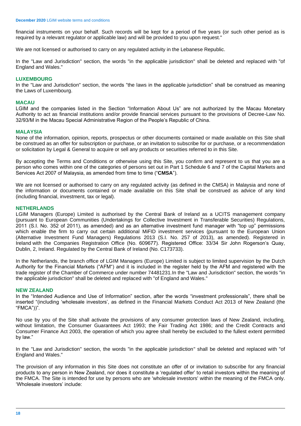financial instruments on your behalf. Such records will be kept for a period of five years (or such other period as is required by a relevant regulator or applicable law) and will be provided to you upon request."

We are not licensed or authorised to carry on any regulated activity in the Lebanese Republic.

In the "Law and Jurisdiction" section, the words "in the applicable jurisdiction" shall be deleted and replaced with "of England and Wales."

# <span id="page-17-0"></span>**LUXEMBOURG**

In the "Law and Jurisdiction" section, the words "the laws in the applicable jurisdiction" shall be construed as meaning the Laws of Luxembourg.

### <span id="page-17-1"></span>**MACAU**

LGIM and the companies listed in the Section "Information About Us" are not authorized by the Macau Monetary Authority to act as financial institutions and/or provide financial services pursuant to the provisions of Decree-Law No. 32/93/M in the Macau Special Administrative Region of the People's Republic of China.

### <span id="page-17-2"></span>**MALAYSIA**

None of the information, opinion, reports, prospectus or other documents contained or made available on this Site shall be construed as an offer for subscription or purchase, or an invitation to subscribe for or purchase, or a recommendation or solicitation by Legal & General to acquire or sell any products or securities referred to in this Site.

By accepting the Terms and Conditions or otherwise using this Site, you confirm and represent to us that you are a person who comes within one of the categories of persons set out in Part 1 Schedule 6 and 7 of the Capital Markets and Services Act 2007 of Malaysia, as amended from time to time ("CMSA").

We are not licensed or authorised to carry on any regulated activity (as defined in the CMSA) in Malaysia and none of the information or documents contained or made available on this Site shall be construed as advice of any kind (including financial, investment, tax or legal).

# <span id="page-17-3"></span>**NETHERLANDS**

LGIM Managers (Europe) Limited is authorised by the Central Bank of Ireland as a UCITS management company (pursuant to European Communities (Undertakings for Collective Investment in Transferable Securities) Regulations, 2011 (S.I. No. 352 of 2011), as amended) and as an alternative investment fund manager with "top up" permissions which enable the firm to carry out certain additional MiFID investment services (pursuant to the European Union (Alternative Investment Fund Managers) Regulations 2013 (S.I. No. 257 of 2013), as amended). Registered in Ireland with the Companies Registration Office (No. 609677). Registered Office: 33/34 Sir John Rogerson's Quay, Dublin, 2, Ireland. Regulated by the Central Bank of Ireland (No. C173733).

In the Netherlands, the branch office of LGIM Managers (Europe) Limited is subject to limited supervision by the Dutch Authority for the Financial Markets ("AFM") and it is included in the register held by the AFM and registered with the trade register of the Chamber of Commerce under number 74481231.In the "Law and Jurisdiction" section, the words "in the applicable jurisdiction" shall be deleted and replaced with "of England and Wales."

# <span id="page-17-4"></span>**NEW ZEALAND**

In the "Intended Audience and Use of Information" section, after the words "investment professionals", there shall be inserted "(including 'wholesale investors', as defined in the Financial Markets Conduct Act 2013 of New Zealand (the "FMCA"))".

No use by you of the Site shall activate the provisions of any consumer protection laws of New Zealand, including, without limitation, the Consumer Guarantees Act 1993; the Fair Trading Act 1986; and the Credit Contracts and Consumer Finance Act 2003, the operation of which you agree shall hereby be excluded to the fullest extent permitted by law."

In the "Law and Jurisdiction" section, the words "in the applicable jurisdiction" shall be deleted and replaced with "of England and Wales."

The provision of any information in this Site does not constitute an offer of or invitation to subscribe for any financial products to any person in New Zealand, nor does it constitute a 'regulated offer' to retail investors within the meaning of the FMCA. The Site is intended for use by persons who are 'wholesale investors' within the meaning of the FMCA only. 'Wholesale investors' include: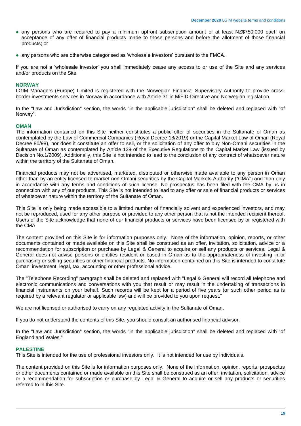- any persons who are required to pay a minimum upfront subscription amount of at least NZ\$750,000 each on acceptance of any offer of financial products made to those persons and before the allotment of those financial products; or
- any persons who are otherwise categorised as 'wholesale investors' pursuant to the FMCA.

If you are not a 'wholesale investor' you shall immediately cease any access to or use of the Site and any services and/or products on the Site.

# <span id="page-18-0"></span>**NORWAY**

LGIM Managers (Europe) Limited is registered with the Norwegian Financial Supervisory Authority to provide crossborder investments services in Norway in accordance with Article 31 in MiFID-Directive and Norwegian legislation.

In the "Law and Jurisdiction" section, the words "in the applicable jurisdiction" shall be deleted and replaced with "of Norway".

#### <span id="page-18-1"></span>**OMAN**

The information contained on this Site neither constitutes a public offer of securities in the Sultanate of Oman as contemplated by the Law of Commercial Companies (Royal Decree 18/2019) or the Capital Market Law of Oman (Royal Decree 80/98), nor does it constitute an offer to sell, or the solicitation of any offer to buy Non-Omani securities in the Sultanate of Oman as contemplated by Article 139 of the Executive Regulations to the Capital Market Law (issued by Decision No.1/2009). Additionally, this Site is not intended to lead to the conclusion of any contract of whatsoever nature within the territory of the Sultanate of Oman.

Financial products may not be advertised, marketed, distributed or otherwise made available to any person in Oman other than by an entity licensed to market non-Omani securities by the Capital Markets Authority ("CMA") and then only in accordance with any terms and conditions of such license. No prospectus has been filed with the CMA by us in connection with any of our products. This Site is not intended to lead to any offer or sale of financial products or services of whatsoever nature within the territory of the Sultanate of Oman.

This Site is only being made accessible to a limited number of financially solvent and experienced investors, and may not be reproduced, used for any other purpose or provided to any other person that is not the intended recipient thereof. Users of the Site acknowledge that none of our financial products or services have been licensed by or registered with the CMA.

The content provided on this Site is for information purposes only. None of the information, opinion, reports, or other documents contained or made available on this Site shall be construed as an offer, invitation, solicitation, advice or a recommendation for subscription or purchase by Legal & General to acquire or sell any products or services. Legal & General does not advise persons or entities resident or based in Oman as to the appropriateness of investing in or purchasing or selling securities or other financial products. No information contained on this Site is intended to constitute Omani investment, legal, tax, accounting or other professional advice.

The "Telephone Recording" paragraph shall be deleted and replaced with "Legal & General will record all telephone and electronic communications and conversations with you that result or may result in the undertaking of transactions in financial instruments on your behalf. Such records will be kept for a period of five years (or such other period as is required by a relevant regulator or applicable law) and will be provided to you upon request."

We are not licensed or authorised to carry on any regulated activity in the Sultanate of Oman.

If you do not understand the contents of this Site, you should consult an authorised financial advisor.

In the "Law and Jurisdiction" section, the words "in the applicable jurisdiction" shall be deleted and replaced with "of England and Wales."

#### <span id="page-18-2"></span>**PALESTINE**

This Site is intended for the use of professional investors only. It is not intended for use by individuals.

The content provided on this Site is for information purposes only. None of the information, opinion, reports, prospectus or other documents contained or made available on this Site shall be construed as an offer, invitation, solicitation, advice or a recommendation for subscription or purchase by Legal & General to acquire or sell any products or securities referred to in this Site.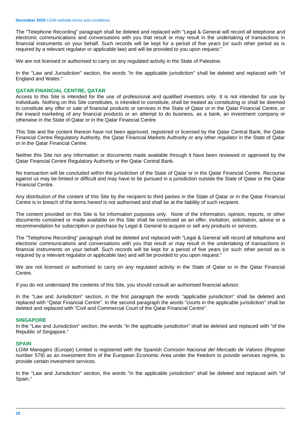The "Telephone Recording" paragraph shall be deleted and replaced with "Legal & General will record all telephone and electronic communications and conversations with you that result or may result in the undertaking of transactions in financial instruments on your behalf. Such records will be kept for a period of five years (or such other period as is required by a relevant regulator or applicable law) and will be provided to you upon request."

We are not licensed or authorised to carry on any regulated activity in the State of Palestine.

In the "Law and Jurisdiction" section, the words "in the applicable jurisdiction" shall be deleted and replaced with "of England and Wales."

# <span id="page-19-0"></span>**QATAR FINANCIAL CENTRE, QATAR**

Access to this Site is intended for the use of professional and qualified investors only. It is not intended for use by individuals. Nothing on this Site constitutes, is intended to constitute, shall be treated as constituting or shall be deemed to constitute any offer or sale of financial products or services in the State of Qatar or in the Qatar Financial Centre, or the inward marketing of any financial products or an attempt to do business, as a bank, an investment company or otherwise in the State of Qatar or in the Qatar Financial Centre.

This Site and the content thereon have not been approved, registered or licensed by the Qatar Central Bank, the Qatar Financial Centre Regulatory Authority, the Qatar Financial Markets Authority or any other regulator in the State of Qatar or in the Qatar Financial Centre.

Neither this Site nor any information or documents made available through it have been reviewed or approved by the Qatar Financial Centre Regulatory Authority or the Qatar Central Bank.

No transaction will be concluded within the jurisdiction of the State of Qatar or in the Qatar Financial Centre. Recourse against us may be limited or difficult and may have to be pursued in a jurisdiction outside the State of Qatar or the Qatar Financial Centre.

Any distribution of the content of this Site by the recipient to third parties in the State of Qatar or in the Qatar Financial Centre is in breach of the terms hereof is not authorised and shall be at the liability of such recipient.

The content provided on this Site is for information purposes only. None of the information, opinion, reports, or other documents contained or made available on this Site shall be construed as an offer, invitation, solicitation, advice or a recommendation for subscription or purchase by Legal & General to acquire or sell any products or services.

The "Telephone Recording" paragraph shall be deleted and replaced with "Legal & General will record all telephone and electronic communications and conversations with you that result or may result in the undertaking of transactions in financial instruments on your behalf. Such records will be kept for a period of five years (or such other period as is required by a relevant regulator or applicable law) and will be provided to you upon request."

We are not licensed or authorised to carry on any regulated activity in the State of Qatar or in the Qatar Financial Centre.

If you do not understand the contents of this Site, you should consult an authorised financial advisor.

In the "Law and Jurisdiction" section, in the first paragraph the words "applicable jurisdiction" shall be deleted and replaced with "Qatar Financial Centre". In the second paragraph the words "courts in the applicable jurisdiction" shall be deleted and replaced with "Civil and Commercial Court of the Qatar Financial Centre".

# <span id="page-19-1"></span>**SINGAPORE**

In the "Law and Jurisdiction" section, the words "in the applicable jurisdiction" shall be deleted and replaced with "of the Republic of Singapore."

#### <span id="page-19-2"></span>**SPAIN**

LGIM Managers (Europe) Limited is registered with the Spanish *Comisión Nacional del Mercado de Valores* (Register number 579) as an investment firm of the European Economic Area under the freedom to provide services regime, to provide certain investment services.

In the "Law and Jurisdiction" section, the words "in the applicable jurisdiction" shall be deleted and replaced with "of Spain."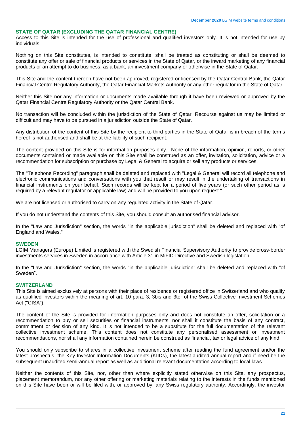# <span id="page-20-0"></span>**STATE OF QATAR (EXCLUDING THE QATAR FINANCIAL CENTRE)**

Access to this Site is intended for the use of professional and qualified investors only. It is not intended for use by individuals.

Nothing on this Site constitutes, is intended to constitute, shall be treated as constituting or shall be deemed to constitute any offer or sale of financial products or services in the State of Qatar, or the inward marketing of any financial products or an attempt to do business, as a bank, an investment company or otherwise in the State of Qatar.

This Site and the content thereon have not been approved, registered or licensed by the Qatar Central Bank, the Qatar Financial Centre Regulatory Authority, the Qatar Financial Markets Authority or any other regulator in the State of Qatar.

Neither this Site nor any information or documents made available through it have been reviewed or approved by the Qatar Financial Centre Regulatory Authority or the Qatar Central Bank.

No transaction will be concluded within the jurisdiction of the State of Qatar. Recourse against us may be limited or difficult and may have to be pursued in a jurisdiction outside the State of Qatar.

Any distribution of the content of this Site by the recipient to third parties in the State of Qatar is in breach of the terms hereof is not authorised and shall be at the liability of such recipient.

The content provided on this Site is for information purposes only. None of the information, opinion, reports, or other documents contained or made available on this Site shall be construed as an offer, invitation, solicitation, advice or a recommendation for subscription or purchase by Legal & General to acquire or sell any products or services.

The "Telephone Recording" paragraph shall be deleted and replaced with "Legal & General will record all telephone and electronic communications and conversations with you that result or may result in the undertaking of transactions in financial instruments on your behalf. Such records will be kept for a period of five years (or such other period as is required by a relevant regulator or applicable law) and will be provided to you upon request."

We are not licensed or authorised to carry on any regulated activity in the State of Qatar.

If you do not understand the contents of this Site, you should consult an authorised financial advisor.

In the "Law and Jurisdiction" section, the words "in the applicable jurisdiction" shall be deleted and replaced with "of England and Wales."

#### <span id="page-20-1"></span>**SWEDEN**

LGIM Managers (Europe) Limited is registered with the Swedish Financial Supervisory Authority to provide cross-border investments services in Sweden in accordance with Article 31 in MiFID-Directive and Swedish legislation.

In the "Law and Jurisdiction" section, the words "in the applicable jurisdiction" shall be deleted and replaced with "of Sweden".

#### <span id="page-20-2"></span>**SWITZERLAND**

This Site is aimed exclusively at persons with their place of residence or registered office in Switzerland and who qualify as qualified investors within the meaning of art. 10 para. 3, 3bis and 3ter of the Swiss Collective Investment Schemes Act ("CISA").

The content of the Site is provided for information purposes only and does not constitute an offer, solicitation or a recommendation to buy or sell securities or financial instruments, nor shall it constitute the basis of any contract, commitment or decision of any kind. It is not intended to be a substitute for the full documentation of the relevant collective investment scheme. This content does not constitute any personalised assessment or investment recommendations, nor shall any information contained herein be construed as financial, tax or legal advice of any kind.

You should only subscribe to shares in a collective investment scheme after reading the fund agreement and/or the latest prospectus, the Key Investor Information Documents (KIIDs), the latest audited annual report and if need be the subsequent unaudited semi-annual report as well as additional relevant documentation according to local laws.

Neither the contents of this Site, nor, other than where explicitly stated otherwise on this Site, any prospectus, placement memorandum, nor any other offering or marketing materials relating to the interests in the funds mentioned on this Site have been or will be filed with, or approved by, any Swiss regulatory authority. Accordingly, the investor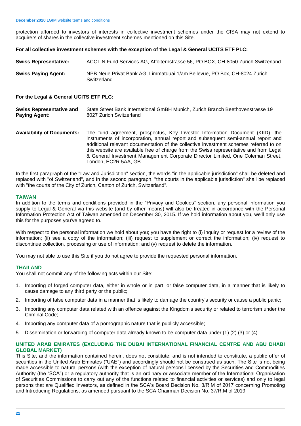protection afforded to investors of interests in collective investment schemes under the CISA may not extend to acquirers of shares in the collective investment schemes mentioned on this Site.

# **For all collective investment schemes with the exception of the Legal & General UCITS ETF PLC:**

| <b>Swiss Representative:</b> | ACOLIN Fund Services AG, Affolternstrasse 56, PO BOX, CH-8050 Zurich Switzerland         |
|------------------------------|------------------------------------------------------------------------------------------|
| Swiss Paying Agent:          | NPB Neue Privat Bank AG, Limmatquai 1/am Bellevue, PO Box, CH-8024 Zurich<br>Switzerland |

# **For the Legal & General UCITS ETF PLC:**

| <b>Swiss Representative and</b> | State Street Bank International GmBH Munich, Zurich Branch Beethovenstrasse 19 |
|---------------------------------|--------------------------------------------------------------------------------|
| <b>Paying Agent:</b>            | 8027 Zurich Switzerland                                                        |

**Availability of Documents:** The fund agreement, prospectus, Key Investor Information Document (KIID), the instruments of incorporation, annual report and subsequent semi-annual report and additional relevant documentation of the collective investment schemes referred to on this website are available free of charge from the Swiss representative and from Legal & General Investment Management Corporate Director Limited, One Coleman Street, London, EC2R 5AA, GB.

In the first paragraph of the "Law and Jurisdiction" section, the words "in the applicable jurisdiction" shall be deleted and replaced with "of Switzerland", and in the second paragraph, "the courts in the applicable jurisdiction" shall be replaced with "the courts of the City of Zurich, Canton of Zurich, Switzerland".

# <span id="page-21-0"></span>**TAIWAN**

In addition to the terms and conditions provided in the "Privacy and Cookies" section, any personal information you supply to Legal & General via this website (and by other means) will also be treated in accordance with the Personal Information Protection Act of Taiwan amended on December 30, 2015. If we hold information about you, we'll only use this for the purposes you've agreed to.

With respect to the personal information we hold about you; you have the right to (i) inquiry or request for a review of the information; (ii) see a copy of the information; (iii) request to supplement or correct the information; (iv) request to discontinue collection, processing or use of information; and (v) request to delete the information.

You may not able to use this Site if you do not agree to provide the requested personal information.

# <span id="page-21-1"></span>**THAILAND**

You shall not commit any of the following acts within our Site:

- 1. Importing of forged computer data, either in whole or in part, or false computer data, in a manner that is likely to cause damage to any third party or the public;
- 2. Importing of false computer data in a manner that is likely to damage the country's security or cause a public panic;
- 3. Importing any computer data related with an offence against the Kingdom's security or related to terrorism under the Criminal Code;
- 4. Importing any computer data of a pornographic nature that is publicly accessible;
- 5. Dissemination or forwarding of computer data already known to be computer data under (1) (2) (3) or (4).

# <span id="page-21-2"></span>**UNITED ARAB EMIRATES (EXCLUDING THE DUBAI INTERNATIONAL FINANCIAL CENTRE AND ABU DHABI GLOBAL MARKET)**

This Site, and the information contained herein, does not constitute, and is not intended to constitute, a public offer of securities in the United Arab Emirates ("UAE") and accordingly should not be construed as such. The Site is not being made accessible to natural persons (with the exception of natural persons licensed by the Securities and Commodities Authority (the "SCA") or a regulatory authority that is an ordinary or associate member of the International Organisation of Securities Commissions to carry out any of the functions related to financial activities or services) and only to legal persons that are Qualified Investors, as defined in the SCA's Board Decision No. 3/R.M of 2017 concerning Promoting and Introducing Regulations, as amended pursuant to the SCA Chairman Decision No. 37/R.M of 2019.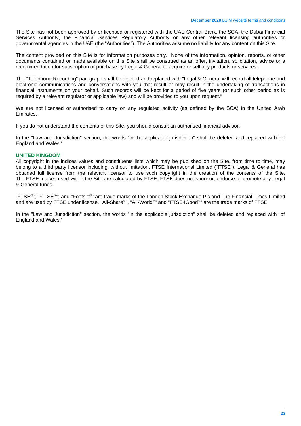The Site has not been approved by or licensed or registered with the UAE Central Bank, the SCA, the Dubai Financial Services Authority, the Financial Services Regulatory Authority or any other relevant licensing authorities or governmental agencies in the UAE (the "Authorities"). The Authorities assume no liability for any content on this Site.

The content provided on this Site is for information purposes only. None of the information, opinion, reports, or other documents contained or made available on this Site shall be construed as an offer, invitation, solicitation, advice or a recommendation for subscription or purchase by Legal & General to acquire or sell any products or services.

The "Telephone Recording" paragraph shall be deleted and replaced with "Legal & General will record all telephone and electronic communications and conversations with you that result or may result in the undertaking of transactions in financial instruments on your behalf. Such records will be kept for a period of five years (or such other period as is required by a relevant regulator or applicable law) and will be provided to you upon request."

We are not licensed or authorised to carry on any regulated activity (as defined by the SCA) in the United Arab Emirates.

If you do not understand the contents of this Site, you should consult an authorised financial advisor.

In the "Law and Jurisdiction" section, the words "in the applicable jurisdiction" shall be deleted and replaced with "of England and Wales."

# <span id="page-22-0"></span>**UNITED KINGDOM**

All copyright in the indices values and constituents lists which may be published on the Site, from time to time, may belong to a third party licensor including, without limitation, FTSE International Limited ("FTSE"). Legal & General has obtained full license from the relevant licensor to use such copyright in the creation of the contents of the Site. The FTSE indices used within the Site are calculated by FTSE. FTSE does not sponsor, endorse or promote any Legal & General funds.

"FTSE<sup>®</sup>", "FT-SE<sup>®</sup>"; and "Footsie<sup>®</sup>" are trade marks of the London Stock Exchange Plc and The Financial Times Limited and are used by FTSE under license. "All-Share®", "All-World®" and "FTSE4Good®" are the trade marks of FTSE.

In the "Law and Jurisdiction" section, the words "in the applicable jurisdiction" shall be deleted and replaced with "of England and Wales."